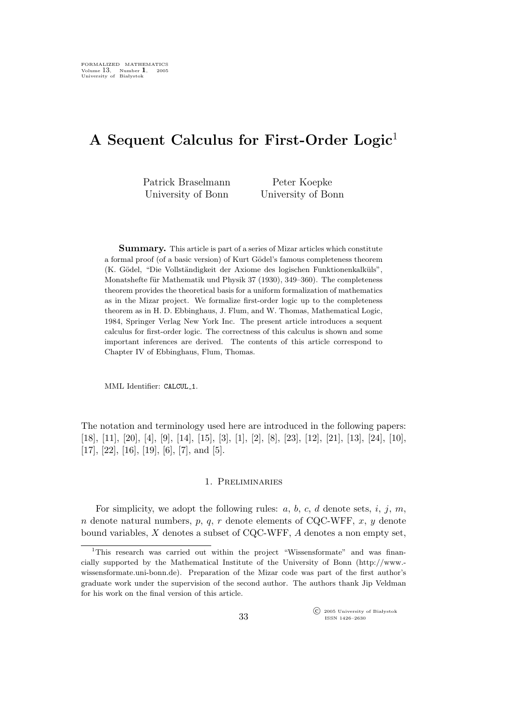# A Sequent Calculus for First-Order Logic<sup>1</sup>

Patrick Braselmann University of Bonn

Peter Koepke University of Bonn

Summary. This article is part of a series of Mizar articles which constitute a formal proof (of a basic version) of Kurt Gödel's famous completeness theorem (K. Gödel, "Die Vollständigkeit der Axiome des logischen Funktionenkalküls", Monatshefte für Mathematik und Physik 37 (1930), 349–360). The completeness theorem provides the theoretical basis for a uniform formalization of mathematics as in the Mizar project. We formalize first-order logic up to the completeness theorem as in H. D. Ebbinghaus, J. Flum, and W. Thomas, Mathematical Logic, 1984, Springer Verlag New York Inc. The present article introduces a sequent calculus for first-order logic. The correctness of this calculus is shown and some important inferences are derived. The contents of this article correspond to Chapter IV of Ebbinghaus, Flum, Thomas.

MML Identifier: CALCUL\_1.

The notation and terminology used here are introduced in the following papers: [18], [11], [20], [4], [9], [14], [15], [3], [1], [2], [8], [23], [12], [21], [13], [24], [10], [17], [22], [16], [19], [6], [7], and [5].

### 1. Preliminaries

For simplicity, we adopt the following rules:  $a, b, c, d$  denote sets,  $i, j, m$ ,  $n$  denote natural numbers,  $p$ ,  $q$ ,  $r$  denote elements of CQC-WFF,  $x$ ,  $y$  denote bound variables,  $X$  denotes a subset of CQC-WFF,  $A$  denotes a non empty set,

 $\widehat{\mathbb{C}}$  2005 University of Bia lystok ISSN 1426–2630

<sup>&</sup>lt;sup>1</sup>This research was carried out within the project "Wissensformate" and was financially supported by the Mathematical Institute of the University of Bonn (http://www. wissensformate.uni-bonn.de). Preparation of the Mizar code was part of the first author's graduate work under the supervision of the second author. The authors thank Jip Veldman for his work on the final version of this article.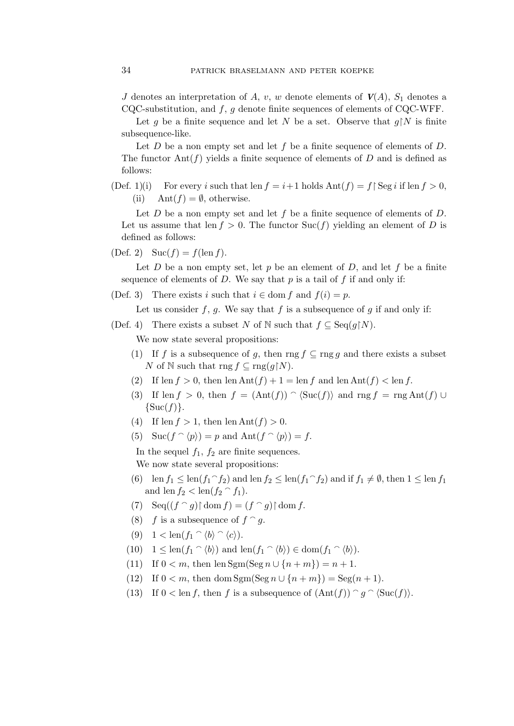J denotes an interpretation of A, v, w denote elements of  $V(A)$ ,  $S_1$  denotes a CQC-substitution, and  $f, g$  denote finite sequences of elements of CQC-WFF.

Let g be a finite sequence and let N be a set. Observe that  $g \upharpoonright N$  is finite subsequence-like.

Let  $D$  be a non empty set and let  $f$  be a finite sequence of elements of  $D$ . The functor  $\text{Ant}(f)$  yields a finite sequence of elements of D and is defined as follows:

(Def. 1)(i) For every i such that len  $f = i+1$  holds  $\text{Ant}(f) = f \, | \, \text{Seg } i \text{ if } \text{len } f > 0$ , (ii) Ant $(f) = \emptyset$ , otherwise.

Let  $D$  be a non empty set and let  $f$  be a finite sequence of elements of  $D$ . Let us assume that len  $f > 0$ . The functor Suc(f) yielding an element of D is defined as follows:

(Def. 2)  $\text{Suc}(f) = f(\text{len } f).$ 

Let D be a non empty set, let p be an element of D, and let f be a finite sequence of elements of  $D$ . We say that  $p$  is a tail of  $f$  if and only if:

(Def. 3) There exists i such that  $i \in \text{dom } f$  and  $f(i) = p$ .

Let us consider f, g. We say that f is a subsequence of g if and only if:

(Def. 4) There exists a subset N of N such that  $f \subseteq \text{Seq}(g \upharpoonright N)$ .

We now state several propositions:

- (1) If f is a subsequence of g, then rng  $f \subseteq \text{rng } g$  and there exists a subset N of N such that  $\text{rng } f \subseteq \text{rng}(g \upharpoonright N)$ .
- (2) If len  $f > 0$ , then len  $\text{Ant}(f) + 1 = \text{len } f$  and len  $\text{Ant}(f) < \text{len } f$ .
- (3) If len f > 0, then  $f = (Ant(f)) \cap (Suc(f))$  and rng  $f = rng Ant(f) \cup$  $\{Suc(f)\}.$
- (4) If len  $f > 1$ , then len  $\text{Ant}(f) > 0$ .
- (5) Suc $(f \cap \langle p \rangle) = p$  and  $\text{Ant}(f \cap \langle p \rangle) = f$ .

In the sequel  $f_1$ ,  $f_2$  are finite sequences. We now state several propositions:

- (6) len  $f_1 \leq \text{len}(f_1 \cap f_2)$  and len  $f_2 \leq \text{len}(f_1 \cap f_2)$  and if  $f_1 \neq \emptyset$ , then  $1 \leq \text{len}(f_1 \cap f_2)$ and len  $f_2 < \text{len}(f_2 \cap f_1)$ .
- (7)  $\operatorname{Seq}((f \cap g) \upharpoonright \operatorname{dom} f) = (f \cap g) \upharpoonright \operatorname{dom} f.$
- (8) f is a subsequence of  $f \cap g$ .
- (9)  $1 < \text{len}(f_1 \cap \langle b \rangle \cap \langle c \rangle).$
- (10)  $1 \leq \text{len}(f_1 \cap \langle b \rangle)$  and  $\text{len}(f_1 \cap \langle b \rangle) \in \text{dom}(f_1 \cap \langle b \rangle)$ .
- (11) If  $0 < m$ , then len Sgm(Seg  $n \cup \{n + m\} = n + 1$ .
- (12) If  $0 < m$ , then dom Sgm(Seg  $n \cup \{n + m\}$ ) = Seg( $n + 1$ ).
- (13) If  $0 < \text{len } f$ , then f is a subsequence of  $(\text{Ant}(f)) \cap g \cap (\text{Suc}(f))$ .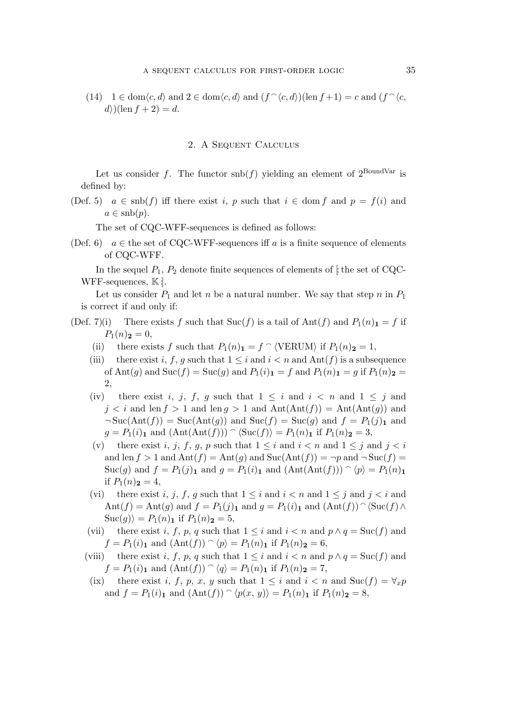(14)  $1 \in \text{dom}\langle c, d \rangle$  and  $2 \in \text{dom}\langle c, d \rangle$  and  $(f \hat{\;} \langle c, d \rangle)(\text{len } f + 1) = c$  and  $(f \hat{\;} \langle c, d \rangle)$  $d)$ (len  $f + 2$ ) = d.

# 2. A Sequent Calculus

Let us consider f. The functor  $\text{snb}(f)$  yielding an element of  $2^{\text{BoundVar}}$  is defined by:

(Def. 5)  $a \in \text{snb}(f)$  iff there exist i, p such that  $i \in \text{dom } f$  and  $p = f(i)$  and  $a \in \mathrm{snb}(p)$ .

The set of CQC-WFF-sequences is defined as follows:

(Def. 6)  $a \in$  the set of CQC-WFF-sequences iff a is a finite sequence of elements of CQC-WFF.

In the sequel  $P_1$ ,  $P_2$  denote finite sequences of elements of f the set of CQC-WFF-sequences,  $\mathbb{K}$  :

Let us consider  $P_1$  and let n be a natural number. We say that step n in  $P_1$ is correct if and only if:

- (Def. 7)(i) There exists f such that  $\text{Suc}(f)$  is a tail of  $\text{Ant}(f)$  and  $P_1(n)_1 = f$  if  $P_1(n)_{\bf 2}=0,$ 
	- (ii) there exists f such that  $P_1(n)_1 = f \cap \langle \text{VERUM} \rangle$  if  $P_1(n)_2 = 1$ ,
	- (iii) there exist i, f, g such that  $1 \leq i$  and  $i \leq n$  and  $\text{Ant}(f)$  is a subsequence of Ant $(g)$  and  $\text{Suc}(f) = \text{Suc}(g)$  and  $P_1(i)_1 = f$  and  $P_1(n)_1 = g$  if  $P_1(n)_2 = g$ 2,
	- (iv) there exist i, j, f, g such that  $1 \leq i$  and  $i < n$  and  $1 \leq j$  and  $j < i$  and len  $f > 1$  and len  $g > 1$  and  $\text{Ant}(\text{Ant}(f)) = \text{Ant}(\text{Ant}(g))$  and  $\neg$ Suc(Ant(f)) = Suc(Ant(g)) and Suc(f) = Suc(g) and  $f = P_1(j)_1$  and  $g = P_1(i)_1$  and  $(Ant(Ant(f))) \cap (Suc(f)) = P_1(n)_1$  if  $P_1(n)_2 = 3$ ,
	- (v) there exist i, j, f, g, p such that  $1 \leq i$  and  $i < n$  and  $1 \leq j$  and  $j < i$ and len  $f > 1$  and  $\text{Ant}(f) = \text{Ant}(q)$  and  $\text{Suc}(\text{Ant}(f)) = \neg p$  and  $\neg \text{Suc}(f) =$ Suc(g) and  $f = P_1(j)_1$  and  $g = P_1(i)_1$  and  $(Ant(Ant(f))) \cap (p) = P_1(n)_1$ if  $P_1(n)_{\bf 2} = 4$ ,
	- (vi) there exist i, j, f, g such that  $1 \leq i$  and  $i < n$  and  $1 \leq j$  and  $j < i$  and Ant $(f)$  = Ant $(g)$  and  $f = P_1(j)_1$  and  $g = P_1(i)_1$  and  $(Ant(f))$   $\Diamond$  Suc $(f) \land$  $\text{Suc}(g)$ ) =  $P_1(n)_1$  if  $P_1(n)_2 = 5$ ,
	- (vii) there exist i, f, p, q such that  $1 \leq i$  and  $i < n$  and  $p \wedge q = \text{Suc}(f)$  and  $f = P_1(i)$  and  $(\text{Ant}(f)) \cap (p) = P_1(n)$  if  $P_1(n)$  = 6,
	- (viii) there exist i, f, p, q such that  $1 \leq i$  and  $i < n$  and  $p \wedge q = \text{Suc}(f)$  and  $f = P_1(i)$  and  $(Ant(f)) \cap (q) = P_1(n)$  if  $P_1(n)$  = 7,
	- (ix) there exist i, f, p, x, y such that  $1 \leq i$  and  $i \leq n$  and  $\text{Suc}(f) = \forall_x p$ and  $f = P_1(i)_1$  and  $(Ant(f)) \cap (p(x, y)) = P_1(n)_1$  if  $P_1(n)_2 = 8$ ,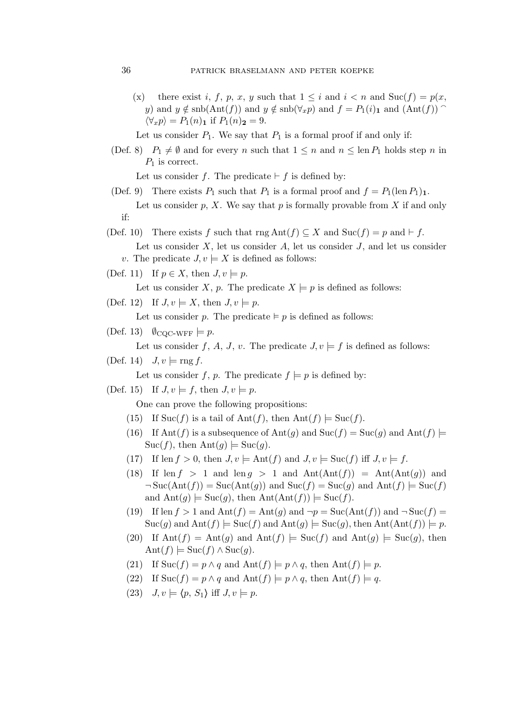## 36 patrick braselmann and peter koepke

- (x) there exist i, f, p, x, y such that  $1 \leq i$  and  $i < n$  and  $Suc(f) = p(x,$ y) and  $y \notin \text{sub}(Ant(f))$  and  $y \notin \text{sub}(\forall_x p)$  and  $f = P_1(i)_1$  and  $(Ant(f))$  $\langle \forall_x p \rangle = P_1(n)$ **1** if  $P_1(n)$ **2** = 9.
- Let us consider  $P_1$ . We say that  $P_1$  is a formal proof if and only if:
- (Def. 8)  $P_1 \neq \emptyset$  and for every n such that  $1 \leq n$  and  $n \leq \text{len } P_1$  holds step n in  $P_1$  is correct.

Let us consider f. The predicate  $\vdash$  f is defined by:

- (Def. 9) There exists  $P_1$  such that  $P_1$  is a formal proof and  $f = P_1(\text{len }P_1)_1$ . Let us consider p, X. We say that p is formally provable from X if and only if:
- (Def. 10) There exists f such that rng Ant $(f) \subseteq X$  and Suc $(f) = p$  and  $\vdash f$ . Let us consider  $X$ , let us consider  $A$ , let us consider  $J$ , and let us consider v. The predicate  $J, v \models X$  is defined as follows:
- (Def. 11) If  $p \in X$ , then  $J, v \models p$ .

Let us consider X, p. The predicate  $X \models p$  is defined as follows:

(Def. 12) If  $J, v \models X$ , then  $J, v \models p$ .

Let us consider p. The predicate  $\models p$  is defined as follows:

(Def. 13)  $\emptyset_{\text{CQC-WFF}} \models p$ .

Let us consider f, A, J, v. The predicate  $J, v \models f$  is defined as follows:

(Def. 14)  $J, v \models \text{rng } f$ .

Let us consider f, p. The predicate  $f \models p$  is defined by:

(Def. 15) If  $J, v \models f$ , then  $J, v \models p$ .

One can prove the following propositions:

- (15) If  $\text{Suc}(f)$  is a tail of  $\text{Ant}(f)$ , then  $\text{Ant}(f) \models \text{Suc}(f)$ .
- (16) If Ant(f) is a subsequence of Ant(q) and  $\text{Suc}(f) = \text{Suc}(g)$  and  $\text{Ant}(f) \models$  $Suc(f)$ , then  $Ant(g) \models Suc(g)$ .
- (17) If len  $f > 0$ , then  $J, v \models \text{Ant}(f)$  and  $J, v \models \text{Suc}(f)$  iff  $J, v \models f$ .
- (18) If len  $f > 1$  and len  $g > 1$  and  $\text{Ant}(\text{Ant}(f)) = \text{Ant}(\text{Ant}(g))$  and  $\neg$  Suc(Ant(f)) = Suc(Ant(g)) and Suc(f) = Suc(g) and Ant(f) = Suc(f) and  $\text{Ant}(g) \models \text{Suc}(g)$ , then  $\text{Ant}(\text{Ant}(f)) \models \text{Suc}(f)$ .
- (19) If len  $f > 1$  and  $\text{Ant}(f) = \text{Ant}(q)$  and  $\neg p = \text{Suc}(\text{Ant}(f))$  and  $\neg \text{Suc}(f) =$  $Suc(g)$  and  $\text{Ant}(f) \models \text{Suc}(f)$  and  $\text{Ant}(g) \models \text{Suc}(g)$ , then  $\text{Ant}(\text{Ant}(f)) \models p$ .
- (20) If  $\text{Ant}(f) = \text{Ant}(g)$  and  $\text{Ant}(f) \models \text{Suc}(f)$  and  $\text{Ant}(g) \models \text{Suc}(g)$ , then  $\text{Ant}(f) \models \text{Suc}(f) \land \text{Suc}(g).$
- (21) If  $\text{Suc}(f) = p \wedge q$  and  $\text{Ant}(f) \models p \wedge q$ , then  $\text{Ant}(f) \models p$ .
- (22) If  $\text{Suc}(f) = p \wedge q$  and  $\text{Ant}(f) \models p \wedge q$ , then  $\text{Ant}(f) \models q$ .
- (23)  $J, v \models \langle p, S_1 \rangle$  iff  $J, v \models p$ .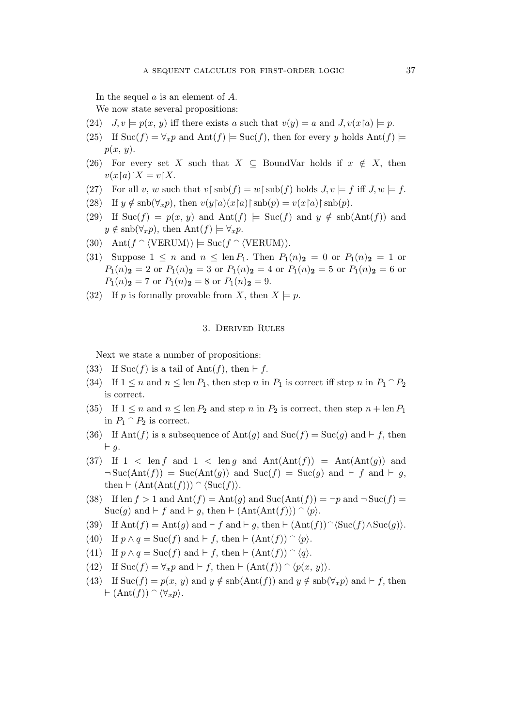In the sequel a is an element of A.

We now state several propositions:

- (24)  $J, v \models p(x, y)$  iff there exists a such that  $v(y) = a$  and  $J, v(x \upharpoonright a) \models p$ .
- (25) If  $\text{Suc}(f) = \forall_x p$  and  $\text{Ant}(f) \models \text{Suc}(f)$ , then for every y holds  $\text{Ant}(f) \models$  $p(x, y)$ .
- (26) For every set X such that  $X \subseteq$  BoundVar holds if  $x \notin X$ , then  $v(x\upharpoonright a)\upharpoonright X=v\upharpoonright X.$
- (27) For all v, w such that  $v \upharpoonright \text{snb}(f) = w \upharpoonright \text{snb}(f)$  holds  $J, v \models f$  iff  $J, w \models f$ .
- (28) If  $y \notin \text{snb}(\forall_x p)$ , then  $v(y \upharpoonright a)(x \upharpoonright a) \upharpoonright \text{snb}(p) = v(x \upharpoonright a) \upharpoonright \text{snb}(p)$ .
- (29) If  $\text{Suc}(f) = p(x, y)$  and  $\text{Ant}(f) \models \text{Suc}(f)$  and  $y \notin \text{sub}(\text{Ant}(f))$  and  $y \notin \text{snb}(\forall_x p), \text{ then } \text{Ant}(f) \models \forall_x p.$
- (30) Ant $(f \cap \langle \text{VERUM} \rangle) \models \text{Suc}(f \cap \langle \text{VERUM} \rangle).$
- (31) Suppose  $1 \leq n$  and  $n \leq \text{len } P_1$ . Then  $P_1(n)_2 = 0$  or  $P_1(n)_2 = 1$  or  $P_1(n)_{\bf{2}} = 2$  or  $P_1(n)_{\bf{2}} = 3$  or  $P_1(n)_{\bf{2}} = 4$  or  $P_1(n)_{\bf{2}} = 5$  or  $P_1(n)_{\bf{2}} = 6$  or  $P_1(n)_{\mathbf{2}} = 7$  or  $P_1(n)_{\mathbf{2}} = 8$  or  $P_1(n)_{\mathbf{2}} = 9$ .
- (32) If p is formally provable from X, then  $X \models p$ .

#### 3. Derived Rules

Next we state a number of propositions:

- (33) If Suc(f) is a tail of Ant(f), then  $\vdash$  f.
- (34) If  $1 \le n$  and  $n \le \text{len } P_1$ , then step n in  $P_1$  is correct iff step n in  $P_1 \cap P_2$ is correct.
- (35) If  $1 \leq n$  and  $n \leq \text{len } P_2$  and step n in  $P_2$  is correct, then step  $n + \text{len } P_1$ in  $P_1 \cap P_2$  is correct.
- (36) If Ant(f) is a subsequence of Ant(g) and Suc(f) = Suc(g) and  $\vdash f$ , then ⊢ g.
- (37) If  $1 \leq \text{len } f$  and  $1 \leq \text{len } q$  and  $\text{Ant}(\text{Ant}(f)) = \text{Ant}(\text{Ant}(q))$  and  $\neg$ Suc(Ant(f)) = Suc(Ant(g)) and Suc(f) = Suc(g) and  $\vdash$  f and  $\vdash$  g, then  $\vdash (\text{Ant}(\text{Ant}(f))) \cap (\text{Suc}(f)).$
- (38) If len  $f > 1$  and  $\text{Ant}(f) = \text{Ant}(g)$  and  $\text{Suc}(\text{Ant}(f)) = \neg p$  and  $\neg \text{Suc}(f) =$  $Suc(g)$  and  $\vdash f$  and  $\vdash g$ , then  $\vdash (\text{Ant}(\text{Ant}(f))) \cap \langle p \rangle$ .
- (39) If  $\text{Ant}(f) = \text{Ant}(g)$  and  $\vdash f$  and  $\vdash g$ , then  $\vdash (\text{Ant}(f))^{\frown}(\text{Suc}(f) \wedge \text{Suc}(g))$ .
- (40) If  $p \wedge q = \text{Suc}(f)$  and  $\vdash f$ , then  $\vdash (\text{Ant}(f)) \cap \langle p \rangle$ .
- (41) If  $p \wedge q = \text{Suc}(f)$  and  $\vdash f$ , then  $\vdash (\text{Ant}(f)) \cap \langle q \rangle$ .
- (42) If  $\text{Suc}(f) = \forall_x p \text{ and } \vdash f, \text{ then } \vdash (\text{Ant}(f)) \cap \langle p(x, y) \rangle.$
- (43) If Suc(f) =  $p(x, y)$  and  $y \notin \text{sub}(\text{Ant}(f))$  and  $y \notin \text{sub}(\forall_x p)$  and  $\vdash f$ , then  $\vdash (\text{Ant}(f)) \cap \langle \forall_x p \rangle$ .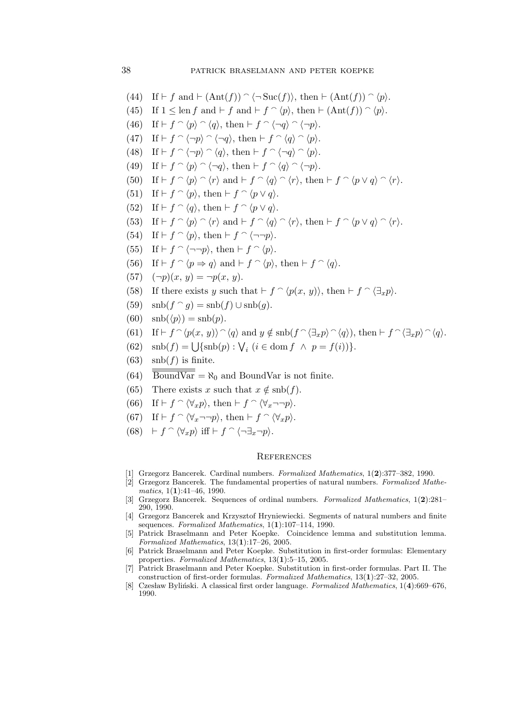- (44) If  $\vdash f$  and  $\vdash (\text{Ant}(f)) \cap \langle \neg \text{Suc}(f) \rangle$ , then  $\vdash (\text{Ant}(f)) \cap \langle p \rangle$ .
- (45) If  $1 \leq \text{len } f$  and  $\vdash f$  and  $\vdash f \cap \langle p \rangle$ , then  $\vdash (\text{Ant}(f)) \cap \langle p \rangle$ .
- (46) If  $\vdash f \cap \langle p \rangle \cap \langle q \rangle$ , then  $\vdash f \cap \langle \neg q \rangle \cap \langle \neg p \rangle$ .
- (47) If  $\vdash f \cap \langle \neg p \rangle \cap \langle \neg q \rangle$ , then  $\vdash f \cap \langle q \rangle \cap \langle p \rangle$ .
- (48) If  $\vdash f \cap \langle \neg p \rangle \cap \langle q \rangle$ , then  $\vdash f \cap \langle \neg q \rangle \cap \langle p \rangle$ .
- (49) If  $\vdash f \cap \langle p \rangle \cap \langle \neg q \rangle$ , then  $\vdash f \cap \langle q \rangle \cap \langle \neg p \rangle$ .
- (50) If  $\vdash f \cap \langle p \rangle \cap \langle r \rangle$  and  $\vdash f \cap \langle q \rangle \cap \langle r \rangle$ , then  $\vdash f \cap \langle p \vee q \rangle \cap \langle r \rangle$ .
- (51) If  $\vdash f \cap \langle p \rangle$ , then  $\vdash f \cap \langle p \vee q \rangle$ .
- (52) If  $\vdash f \cap \langle q \rangle$ , then  $\vdash f \cap \langle p \vee q \rangle$ .
- (53) If  $\vdash f \cap \langle p \rangle \cap \langle r \rangle$  and  $\vdash f \cap \langle q \rangle \cap \langle r \rangle$ , then  $\vdash f \cap \langle p \vee q \rangle \cap \langle r \rangle$ .
- (54) If  $\vdash f \cap \langle p \rangle$ , then  $\vdash f \cap \langle \neg \neg p \rangle$ .
- (55) If  $\vdash f \cap \langle \neg \neg p \rangle$ , then  $\vdash f \cap \langle p \rangle$ .
- (56) If  $\vdash f \cap \langle p \Rightarrow q \rangle$  and  $\vdash f \cap \langle p \rangle$ , then  $\vdash f \cap \langle q \rangle$ .
- (57)  $(\neg p)(x, y) = \neg p(x, y)$ .
- (58) If there exists y such that  $\vdash f \cap \langle p(x, y) \rangle$ , then  $\vdash f \cap \langle \exists_x p \rangle$ .
- (59)  $\operatorname{snb}(f \cap g) = \operatorname{snb}(f) \cup \operatorname{snb}(g)$ .
- (60)  $\operatorname{snb}(\langle p \rangle) = \operatorname{snb}(p)$ .
- (61) If  $\vdash f \cap \langle p(x, y) \rangle \cap \langle q \rangle$  and  $y \notin \text{sub}(f \cap \langle \exists_x p \rangle \cap \langle q \rangle)$ , then  $\vdash f \cap \langle \exists_x p \rangle \cap \langle q \rangle$ .
- (62)  $\text{snb}(f) = \bigcup \{\text{snb}(p) : \bigvee_i (i \in \text{dom } f \land p = f(i))\}.$
- $(63)$  snb $(f)$  is finite.
- $(64)$   $\overline{\text{BoundVar}} = \aleph_0$  and BoundVar is not finite.
- (65) There exists x such that  $x \notin \text{sub}(f)$ .
- (66) If  $\vdash f \cap \langle \forall_x p \rangle$ , then  $\vdash f \cap \langle \forall_x \neg \neg p \rangle$ .
- (67) If  $\vdash f \cap \langle \forall_x \neg \neg p \rangle$ , then  $\vdash f \cap \langle \forall_x p \rangle$ .
- (68)  $\vdash f \cap \langle \forall_x p \rangle$  iff  $\vdash f \cap \langle \neg \exists_x \neg p \rangle$ .

#### **REFERENCES**

- [1] Grzegorz Bancerek. Cardinal numbers. Formalized Mathematics, 1(2):377–382, 1990.
- [2] Grzegorz Bancerek. The fundamental properties of natural numbers. Formalized Mathematics,  $1(1):41-46$ , 1990.
- [3] Grzegorz Bancerek. Sequences of ordinal numbers. Formalized Mathematics, 1(2):281– 290, 1990.
- [4] Grzegorz Bancerek and Krzysztof Hryniewiecki. Segments of natural numbers and finite sequences. Formalized Mathematics,  $1(1):107-114$ , 1990.
- [5] Patrick Braselmann and Peter Koepke. Coincidence lemma and substitution lemma. Formalized Mathematics, 13(1):17–26, 2005.
- [6] Patrick Braselmann and Peter Koepke. Substitution in first-order formulas: Elementary properties. Formalized Mathematics, 13(1):5–15, 2005.
- [7] Patrick Braselmann and Peter Koepke. Substitution in first-order formulas. Part II. The construction of first-order formulas. Formalized Mathematics, 13(1):27–32, 2005.
- [8] Czesław Byliński. A classical first order language. Formalized Mathematics, 1(4):669–676, 1990.